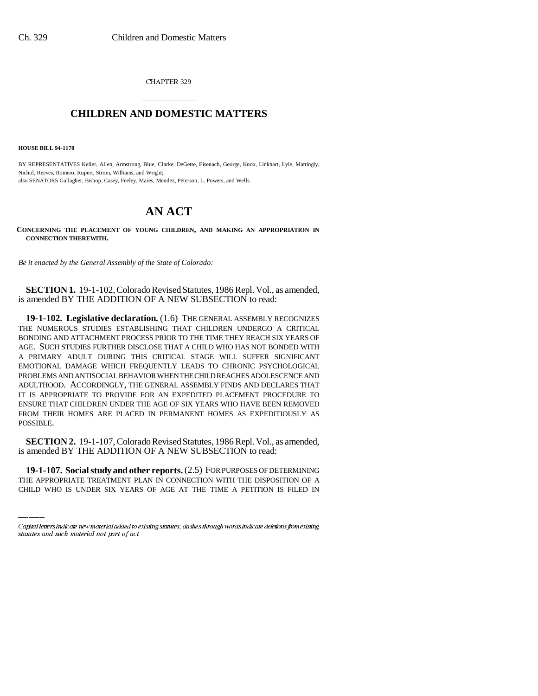CHAPTER 329

# \_\_\_\_\_\_\_\_\_\_\_\_\_\_\_ **CHILDREN AND DOMESTIC MATTERS** \_\_\_\_\_\_\_\_\_\_\_\_\_\_\_

**HOUSE BILL 94-1178**

BY REPRESENTATIVES Keller, Allen, Armstrong, Blue, Clarke, DeGette, Eisenach, George, Knox, Linkhart, Lyle, Mattingly, Nichol, Reeves, Romero, Rupert, Strom, Williams, and Wright; also SENATORS Gallagher, Bishop, Casey, Feeley, Mares, Mendez, Peterson, L. Powers, and Wells.

# **AN ACT**

**CONCERNING THE PLACEMENT OF YOUNG CHILDREN, AND MAKING AN APPROPRIATION IN CONNECTION THEREWITH.**

*Be it enacted by the General Assembly of the State of Colorado:*

**SECTION 1.** 19-1-102, Colorado Revised Statutes, 1986 Repl. Vol., as amended, is amended BY THE ADDITION OF A NEW SUBSECTION to read:

**19-1-102. Legislative declaration.** (1.6) THE GENERAL ASSEMBLY RECOGNIZES THE NUMEROUS STUDIES ESTABLISHING THAT CHILDREN UNDERGO A CRITICAL BONDING AND ATTACHMENT PROCESS PRIOR TO THE TIME THEY REACH SIX YEARS OF AGE. SUCH STUDIES FURTHER DISCLOSE THAT A CHILD WHO HAS NOT BONDED WITH A PRIMARY ADULT DURING THIS CRITICAL STAGE WILL SUFFER SIGNIFICANT EMOTIONAL DAMAGE WHICH FREQUENTLY LEADS TO CHRONIC PSYCHOLOGICAL PROBLEMS AND ANTISOCIAL BEHAVIOR WHEN THE CHILD REACHES ADOLESCENCE AND ADULTHOOD. ACCORDINGLY, THE GENERAL ASSEMBLY FINDS AND DECLARES THAT IT IS APPROPRIATE TO PROVIDE FOR AN EXPEDITED PLACEMENT PROCEDURE TO ENSURE THAT CHILDREN UNDER THE AGE OF SIX YEARS WHO HAVE BEEN REMOVED FROM THEIR HOMES ARE PLACED IN PERMANENT HOMES AS EXPEDITIOUSLY AS POSSIBLE.

is amended BY THE ADDITION OF A NEW SUBSECTION to read: **SECTION 2.** 19-1-107, Colorado Revised Statutes, 1986 Repl. Vol., as amended,

**19-1-107. Social study and other reports.** (2.5) FOR PURPOSES OF DETERMINING THE APPROPRIATE TREATMENT PLAN IN CONNECTION WITH THE DISPOSITION OF A CHILD WHO IS UNDER SIX YEARS OF AGE AT THE TIME A PETITION IS FILED IN

Capital letters indicate new material added to existing statutes; dashes through words indicate deletions from existing statutes and such material not part of act.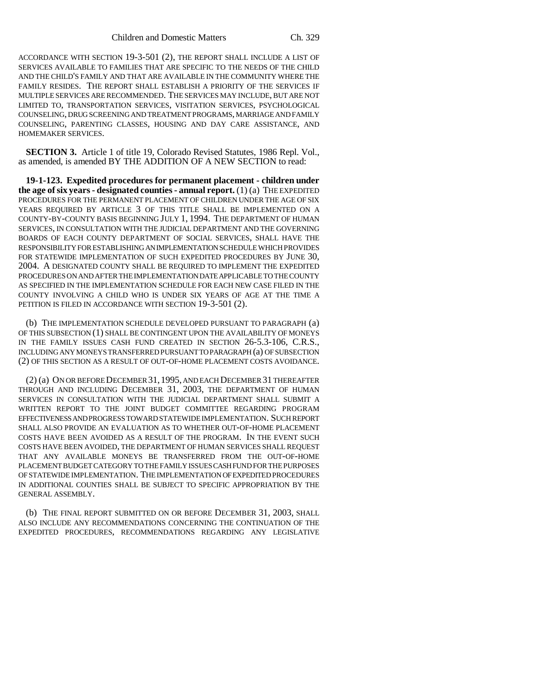ACCORDANCE WITH SECTION 19-3-501 (2), THE REPORT SHALL INCLUDE A LIST OF SERVICES AVAILABLE TO FAMILIES THAT ARE SPECIFIC TO THE NEEDS OF THE CHILD AND THE CHILD'S FAMILY AND THAT ARE AVAILABLE IN THE COMMUNITY WHERE THE FAMILY RESIDES. THE REPORT SHALL ESTABLISH A PRIORITY OF THE SERVICES IF MULTIPLE SERVICES ARE RECOMMENDED. THE SERVICES MAY INCLUDE, BUT ARE NOT LIMITED TO, TRANSPORTATION SERVICES, VISITATION SERVICES, PSYCHOLOGICAL COUNSELING, DRUG SCREENING AND TREATMENT PROGRAMS, MARRIAGE AND FAMILY COUNSELING, PARENTING CLASSES, HOUSING AND DAY CARE ASSISTANCE, AND HOMEMAKER SERVICES.

**SECTION 3.** Article 1 of title 19, Colorado Revised Statutes, 1986 Repl. Vol., as amended, is amended BY THE ADDITION OF A NEW SECTION to read:

**19-1-123. Expedited procedures for permanent placement - children under the age of six years - designated counties - annual report.** (1) (a) THE EXPEDITED PROCEDURES FOR THE PERMANENT PLACEMENT OF CHILDREN UNDER THE AGE OF SIX YEARS REQUIRED BY ARTICLE 3 OF THIS TITLE SHALL BE IMPLEMENTED ON A COUNTY-BY-COUNTY BASIS BEGINNING JULY 1, 1994. THE DEPARTMENT OF HUMAN SERVICES, IN CONSULTATION WITH THE JUDICIAL DEPARTMENT AND THE GOVERNING BOARDS OF EACH COUNTY DEPARTMENT OF SOCIAL SERVICES, SHALL HAVE THE RESPONSIBILITY FOR ESTABLISHING AN IMPLEMENTATION SCHEDULE WHICH PROVIDES FOR STATEWIDE IMPLEMENTATION OF SUCH EXPEDITED PROCEDURES BY JUNE 30, 2004. A DESIGNATED COUNTY SHALL BE REQUIRED TO IMPLEMENT THE EXPEDITED PROCEDURES ON AND AFTER THE IMPLEMENTATION DATE APPLICABLE TO THE COUNTY AS SPECIFIED IN THE IMPLEMENTATION SCHEDULE FOR EACH NEW CASE FILED IN THE COUNTY INVOLVING A CHILD WHO IS UNDER SIX YEARS OF AGE AT THE TIME A PETITION IS FILED IN ACCORDANCE WITH SECTION 19-3-501 (2).

(b) THE IMPLEMENTATION SCHEDULE DEVELOPED PURSUANT TO PARAGRAPH (a) OF THIS SUBSECTION (1) SHALL BE CONTINGENT UPON THE AVAILABILITY OF MONEYS IN THE FAMILY ISSUES CASH FUND CREATED IN SECTION 26-5.3-106, C.R.S., INCLUDING ANY MONEYS TRANSFERRED PURSUANT TO PARAGRAPH (a) OF SUBSECTION (2) OF THIS SECTION AS A RESULT OF OUT-OF-HOME PLACEMENT COSTS AVOIDANCE.

(2) (a) ON OR BEFORE DECEMBER 31,1995, AND EACH DECEMBER 31 THEREAFTER THROUGH AND INCLUDING DECEMBER 31, 2003, THE DEPARTMENT OF HUMAN SERVICES IN CONSULTATION WITH THE JUDICIAL DEPARTMENT SHALL SUBMIT A WRITTEN REPORT TO THE JOINT BUDGET COMMITTEE REGARDING PROGRAM EFFECTIVENESS AND PROGRESS TOWARD STATEWIDE IMPLEMENTATION. SUCH REPORT SHALL ALSO PROVIDE AN EVALUATION AS TO WHETHER OUT-OF-HOME PLACEMENT COSTS HAVE BEEN AVOIDED AS A RESULT OF THE PROGRAM. IN THE EVENT SUCH COSTS HAVE BEEN AVOIDED, THE DEPARTMENT OF HUMAN SERVICES SHALL REQUEST THAT ANY AVAILABLE MONEYS BE TRANSFERRED FROM THE OUT-OF-HOME PLACEMENT BUDGET CATEGORY TO THE FAMILY ISSUES CASH FUND FOR THE PURPOSES OF STATEWIDE IMPLEMENTATION. THE IMPLEMENTATION OF EXPEDITED PROCEDURES IN ADDITIONAL COUNTIES SHALL BE SUBJECT TO SPECIFIC APPROPRIATION BY THE GENERAL ASSEMBLY.

(b) THE FINAL REPORT SUBMITTED ON OR BEFORE DECEMBER 31, 2003, SHALL ALSO INCLUDE ANY RECOMMENDATIONS CONCERNING THE CONTINUATION OF THE EXPEDITED PROCEDURES, RECOMMENDATIONS REGARDING ANY LEGISLATIVE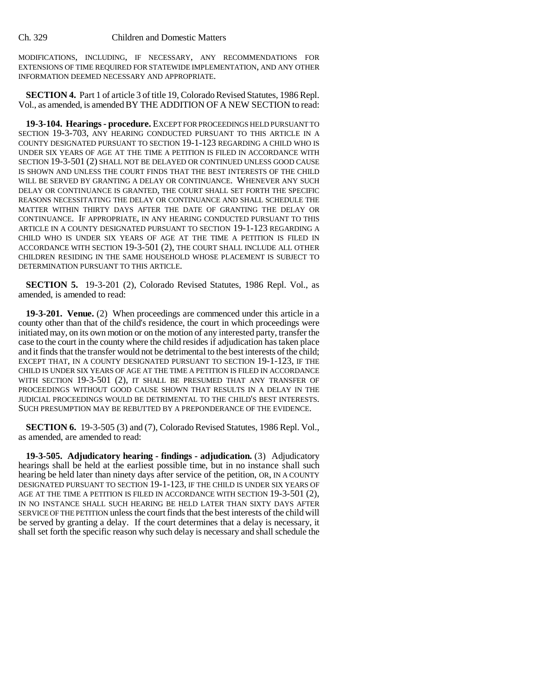#### Ch. 329 Children and Domestic Matters

MODIFICATIONS, INCLUDING, IF NECESSARY, ANY RECOMMENDATIONS FOR EXTENSIONS OF TIME REQUIRED FOR STATEWIDE IMPLEMENTATION, AND ANY OTHER INFORMATION DEEMED NECESSARY AND APPROPRIATE.

**SECTION 4.** Part 1 of article 3 of title 19, Colorado Revised Statutes, 1986 Repl. Vol., as amended, is amended BY THE ADDITION OF A NEW SECTION to read:

**19-3-104. Hearings - procedure.** EXCEPT FOR PROCEEDINGS HELD PURSUANT TO SECTION 19-3-703, ANY HEARING CONDUCTED PURSUANT TO THIS ARTICLE IN A COUNTY DESIGNATED PURSUANT TO SECTION 19-1-123 REGARDING A CHILD WHO IS UNDER SIX YEARS OF AGE AT THE TIME A PETITION IS FILED IN ACCORDANCE WITH SECTION 19-3-501 (2) SHALL NOT BE DELAYED OR CONTINUED UNLESS GOOD CAUSE IS SHOWN AND UNLESS THE COURT FINDS THAT THE BEST INTERESTS OF THE CHILD WILL BE SERVED BY GRANTING A DELAY OR CONTINUANCE. WHENEVER ANY SUCH DELAY OR CONTINUANCE IS GRANTED, THE COURT SHALL SET FORTH THE SPECIFIC REASONS NECESSITATING THE DELAY OR CONTINUANCE AND SHALL SCHEDULE THE MATTER WITHIN THIRTY DAYS AFTER THE DATE OF GRANTING THE DELAY OR CONTINUANCE. IF APPROPRIATE, IN ANY HEARING CONDUCTED PURSUANT TO THIS ARTICLE IN A COUNTY DESIGNATED PURSUANT TO SECTION 19-1-123 REGARDING A CHILD WHO IS UNDER SIX YEARS OF AGE AT THE TIME A PETITION IS FILED IN ACCORDANCE WITH SECTION 19-3-501 (2), THE COURT SHALL INCLUDE ALL OTHER CHILDREN RESIDING IN THE SAME HOUSEHOLD WHOSE PLACEMENT IS SUBJECT TO DETERMINATION PURSUANT TO THIS ARTICLE.

**SECTION 5.** 19-3-201 (2), Colorado Revised Statutes, 1986 Repl. Vol., as amended, is amended to read:

**19-3-201. Venue.** (2) When proceedings are commenced under this article in a county other than that of the child's residence, the court in which proceedings were initiated may, on its own motion or on the motion of any interested party, transfer the case to the court in the county where the child resides if adjudication has taken place and it finds that the transfer would not be detrimental to the best interests of the child; EXCEPT THAT, IN A COUNTY DESIGNATED PURSUANT TO SECTION 19-1-123, IF THE CHILD IS UNDER SIX YEARS OF AGE AT THE TIME A PETITION IS FILED IN ACCORDANCE WITH SECTION 19-3-501 (2), IT SHALL BE PRESUMED THAT ANY TRANSFER OF PROCEEDINGS WITHOUT GOOD CAUSE SHOWN THAT RESULTS IN A DELAY IN THE JUDICIAL PROCEEDINGS WOULD BE DETRIMENTAL TO THE CHILD'S BEST INTERESTS. SUCH PRESUMPTION MAY BE REBUTTED BY A PREPONDERANCE OF THE EVIDENCE.

**SECTION 6.** 19-3-505 (3) and (7), Colorado Revised Statutes, 1986 Repl. Vol., as amended, are amended to read:

**19-3-505. Adjudicatory hearing - findings - adjudication.** (3) Adjudicatory hearings shall be held at the earliest possible time, but in no instance shall such hearing be held later than ninety days after service of the petition, OR, IN A COUNTY DESIGNATED PURSUANT TO SECTION 19-1-123, IF THE CHILD IS UNDER SIX YEARS OF AGE AT THE TIME A PETITION IS FILED IN ACCORDANCE WITH SECTION 19-3-501 (2), IN NO INSTANCE SHALL SUCH HEARING BE HELD LATER THAN SIXTY DAYS AFTER SERVICE OF THE PETITION unless the court finds that the best interests of the child will be served by granting a delay. If the court determines that a delay is necessary, it shall set forth the specific reason why such delay is necessary and shall schedule the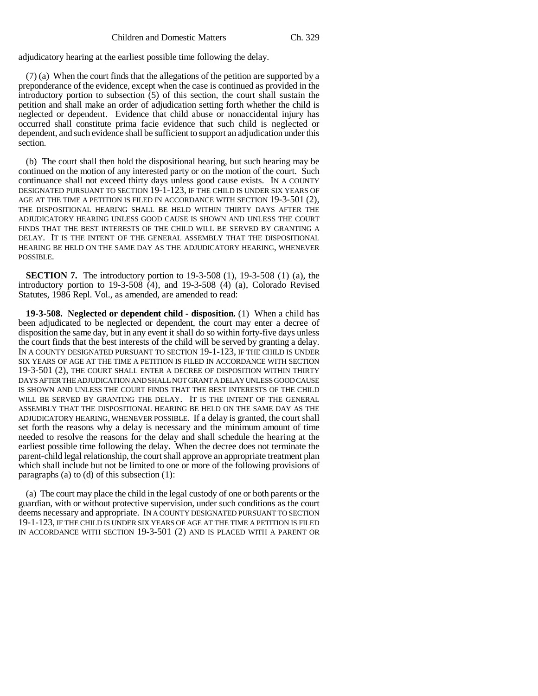adjudicatory hearing at the earliest possible time following the delay.

(7) (a) When the court finds that the allegations of the petition are supported by a preponderance of the evidence, except when the case is continued as provided in the introductory portion to subsection (5) of this section, the court shall sustain the petition and shall make an order of adjudication setting forth whether the child is neglected or dependent. Evidence that child abuse or nonaccidental injury has occurred shall constitute prima facie evidence that such child is neglected or dependent, and such evidence shall be sufficient to support an adjudication under this section.

(b) The court shall then hold the dispositional hearing, but such hearing may be continued on the motion of any interested party or on the motion of the court. Such continuance shall not exceed thirty days unless good cause exists. IN A COUNTY DESIGNATED PURSUANT TO SECTION 19-1-123, IF THE CHILD IS UNDER SIX YEARS OF AGE AT THE TIME A PETITION IS FILED IN ACCORDANCE WITH SECTION 19-3-501 (2), THE DISPOSITIONAL HEARING SHALL BE HELD WITHIN THIRTY DAYS AFTER THE ADJUDICATORY HEARING UNLESS GOOD CAUSE IS SHOWN AND UNLESS THE COURT FINDS THAT THE BEST INTERESTS OF THE CHILD WILL BE SERVED BY GRANTING A DELAY. IT IS THE INTENT OF THE GENERAL ASSEMBLY THAT THE DISPOSITIONAL HEARING BE HELD ON THE SAME DAY AS THE ADJUDICATORY HEARING, WHENEVER POSSIBLE.

**SECTION 7.** The introductory portion to 19-3-508 (1), 19-3-508 (1) (a), the introductory portion to  $19-3-508$  (4), and  $19-3-508$  (4) (a), Colorado Revised Statutes, 1986 Repl. Vol., as amended, are amended to read:

**19-3-508. Neglected or dependent child - disposition.** (1) When a child has been adjudicated to be neglected or dependent, the court may enter a decree of disposition the same day, but in any event it shall do so within forty-five days unless the court finds that the best interests of the child will be served by granting a delay. IN A COUNTY DESIGNATED PURSUANT TO SECTION 19-1-123, IF THE CHILD IS UNDER SIX YEARS OF AGE AT THE TIME A PETITION IS FILED IN ACCORDANCE WITH SECTION 19-3-501 (2), THE COURT SHALL ENTER A DECREE OF DISPOSITION WITHIN THIRTY DAYS AFTER THE ADJUDICATION AND SHALL NOT GRANT A DELAY UNLESS GOOD CAUSE IS SHOWN AND UNLESS THE COURT FINDS THAT THE BEST INTERESTS OF THE CHILD WILL BE SERVED BY GRANTING THE DELAY. IT IS THE INTENT OF THE GENERAL ASSEMBLY THAT THE DISPOSITIONAL HEARING BE HELD ON THE SAME DAY AS THE ADJUDICATORY HEARING, WHENEVER POSSIBLE. If a delay is granted, the court shall set forth the reasons why a delay is necessary and the minimum amount of time needed to resolve the reasons for the delay and shall schedule the hearing at the earliest possible time following the delay. When the decree does not terminate the parent-child legal relationship, the court shall approve an appropriate treatment plan which shall include but not be limited to one or more of the following provisions of paragraphs (a) to (d) of this subsection (1):

(a) The court may place the child in the legal custody of one or both parents or the guardian, with or without protective supervision, under such conditions as the court deems necessary and appropriate. IN A COUNTY DESIGNATED PURSUANT TO SECTION 19-1-123, IF THE CHILD IS UNDER SIX YEARS OF AGE AT THE TIME A PETITION IS FILED IN ACCORDANCE WITH SECTION 19-3-501 (2) AND IS PLACED WITH A PARENT OR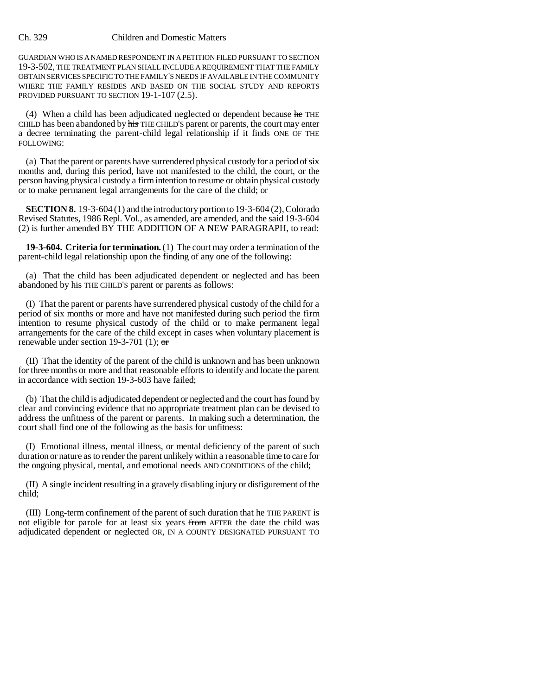## Ch. 329 Children and Domestic Matters

GUARDIAN WHO IS A NAMED RESPONDENT IN A PETITION FILED PURSUANT TO SECTION 19-3-502, THE TREATMENT PLAN SHALL INCLUDE A REQUIREMENT THAT THE FAMILY OBTAIN SERVICES SPECIFIC TO THE FAMILY'S NEEDS IF AVAILABLE IN THE COMMUNITY WHERE THE FAMILY RESIDES AND BASED ON THE SOCIAL STUDY AND REPORTS PROVIDED PURSUANT TO SECTION 19-1-107 (2.5).

(4) When a child has been adjudicated neglected or dependent because he THE CHILD has been abandoned by his THE CHILD'S parent or parents, the court may enter a decree terminating the parent-child legal relationship if it finds ONE OF THE FOLLOWING:

(a) That the parent or parents have surrendered physical custody for a period of six months and, during this period, have not manifested to the child, the court, or the person having physical custody a firm intention to resume or obtain physical custody or to make permanent legal arrangements for the care of the child; or

**SECTION 8.** 19-3-604 (1) and the introductory portion to 19-3-604 (2), Colorado Revised Statutes, 1986 Repl. Vol., as amended, are amended, and the said 19-3-604 (2) is further amended BY THE ADDITION OF A NEW PARAGRAPH, to read:

**19-3-604. Criteria for termination.** (1) The court may order a termination of the parent-child legal relationship upon the finding of any one of the following:

(a) That the child has been adjudicated dependent or neglected and has been abandoned by his THE CHILD'S parent or parents as follows:

(I) That the parent or parents have surrendered physical custody of the child for a period of six months or more and have not manifested during such period the firm intention to resume physical custody of the child or to make permanent legal arrangements for the care of the child except in cases when voluntary placement is renewable under section 19-3-701 (1);  $\sigma$ 

(II) That the identity of the parent of the child is unknown and has been unknown for three months or more and that reasonable efforts to identify and locate the parent in accordance with section 19-3-603 have failed;

(b) That the child is adjudicated dependent or neglected and the court has found by clear and convincing evidence that no appropriate treatment plan can be devised to address the unfitness of the parent or parents. In making such a determination, the court shall find one of the following as the basis for unfitness:

(I) Emotional illness, mental illness, or mental deficiency of the parent of such duration or nature as to render the parent unlikely within a reasonable time to care for the ongoing physical, mental, and emotional needs AND CONDITIONS of the child;

(II) A single incident resulting in a gravely disabling injury or disfigurement of the child;

(III) Long-term confinement of the parent of such duration that  $he$  THE PARENT is not eligible for parole for at least six years from AFTER the date the child was adjudicated dependent or neglected OR, IN A COUNTY DESIGNATED PURSUANT TO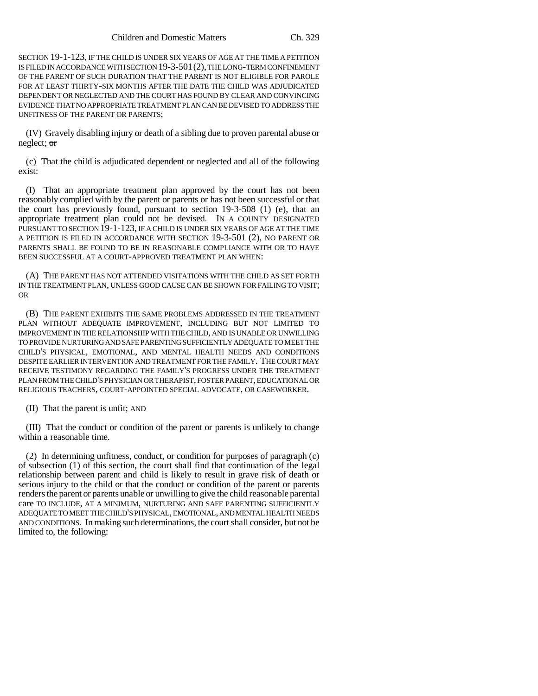SECTION 19-1-123, IF THE CHILD IS UNDER SIX YEARS OF AGE AT THE TIME A PETITION IS FILED IN ACCORDANCE WITH SECTION 19-3-501(2), THE LONG-TERM CONFINEMENT OF THE PARENT OF SUCH DURATION THAT THE PARENT IS NOT ELIGIBLE FOR PAROLE FOR AT LEAST THIRTY-SIX MONTHS AFTER THE DATE THE CHILD WAS ADJUDICATED DEPENDENT OR NEGLECTED AND THE COURT HAS FOUND BY CLEAR AND CONVINCING EVIDENCE THAT NO APPROPRIATE TREATMENT PLAN CAN BE DEVISED TO ADDRESS THE UNFITNESS OF THE PARENT OR PARENTS;

(IV) Gravely disabling injury or death of a sibling due to proven parental abuse or neglect; or

(c) That the child is adjudicated dependent or neglected and all of the following exist:

(I) That an appropriate treatment plan approved by the court has not been reasonably complied with by the parent or parents or has not been successful or that the court has previously found, pursuant to section 19-3-508 (1) (e), that an appropriate treatment plan could not be devised. IN A COUNTY DESIGNATED PURSUANT TO SECTION 19-1-123, IF A CHILD IS UNDER SIX YEARS OF AGE AT THE TIME A PETITION IS FILED IN ACCORDANCE WITH SECTION 19-3-501 (2), NO PARENT OR PARENTS SHALL BE FOUND TO BE IN REASONABLE COMPLIANCE WITH OR TO HAVE BEEN SUCCESSFUL AT A COURT-APPROVED TREATMENT PLAN WHEN:

(A) THE PARENT HAS NOT ATTENDED VISITATIONS WITH THE CHILD AS SET FORTH IN THE TREATMENT PLAN, UNLESS GOOD CAUSE CAN BE SHOWN FOR FAILING TO VISIT; OR

(B) THE PARENT EXHIBITS THE SAME PROBLEMS ADDRESSED IN THE TREATMENT PLAN WITHOUT ADEQUATE IMPROVEMENT, INCLUDING BUT NOT LIMITED TO IMPROVEMENT IN THE RELATIONSHIP WITH THE CHILD, AND IS UNABLE OR UNWILLING TO PROVIDE NURTURING AND SAFE PARENTING SUFFICIENTLY ADEQUATE TO MEET THE CHILD'S PHYSICAL, EMOTIONAL, AND MENTAL HEALTH NEEDS AND CONDITIONS DESPITE EARLIER INTERVENTION AND TREATMENT FOR THE FAMILY. THE COURT MAY RECEIVE TESTIMONY REGARDING THE FAMILY'S PROGRESS UNDER THE TREATMENT PLAN FROM THE CHILD'S PHYSICIAN OR THERAPIST, FOSTER PARENT, EDUCATIONAL OR RELIGIOUS TEACHERS, COURT-APPOINTED SPECIAL ADVOCATE, OR CASEWORKER.

(II) That the parent is unfit; AND

(III) That the conduct or condition of the parent or parents is unlikely to change within a reasonable time.

(2) In determining unfitness, conduct, or condition for purposes of paragraph (c) of subsection (1) of this section, the court shall find that continuation of the legal relationship between parent and child is likely to result in grave risk of death or serious injury to the child or that the conduct or condition of the parent or parents renders the parent or parents unable or unwilling to give the child reasonable parental care TO INCLUDE, AT A MINIMUM, NURTURING AND SAFE PARENTING SUFFICIENTLY ADEQUATE TO MEET THE CHILD'S PHYSICAL, EMOTIONAL, AND MENTAL HEALTH NEEDS AND CONDITIONS. In making such determinations, the court shall consider, but not be limited to, the following: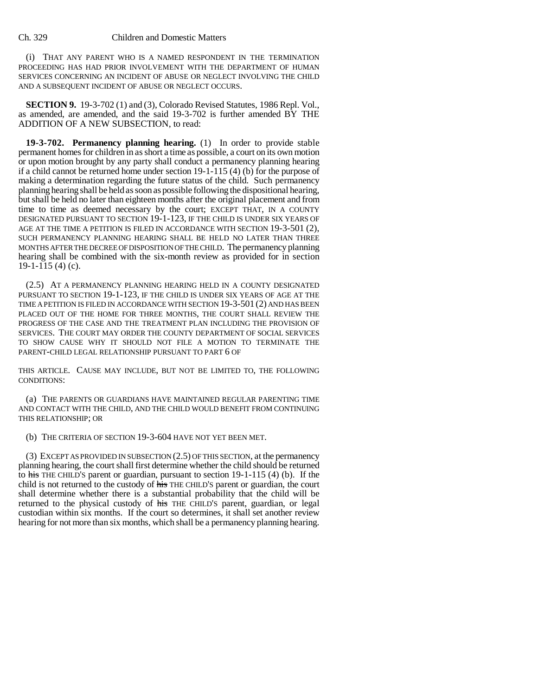## Ch. 329 Children and Domestic Matters

(i) THAT ANY PARENT WHO IS A NAMED RESPONDENT IN THE TERMINATION PROCEEDING HAS HAD PRIOR INVOLVEMENT WITH THE DEPARTMENT OF HUMAN SERVICES CONCERNING AN INCIDENT OF ABUSE OR NEGLECT INVOLVING THE CHILD AND A SUBSEQUENT INCIDENT OF ABUSE OR NEGLECT OCCURS.

**SECTION 9.** 19-3-702 (1) and (3), Colorado Revised Statutes, 1986 Repl. Vol., as amended, are amended, and the said 19-3-702 is further amended BY THE ADDITION OF A NEW SUBSECTION, to read:

**19-3-702. Permanency planning hearing.** (1) In order to provide stable permanent homes for children in as short a time as possible, a court on its own motion or upon motion brought by any party shall conduct a permanency planning hearing if a child cannot be returned home under section 19-1-115 (4) (b) for the purpose of making a determination regarding the future status of the child. Such permanency planning hearing shall be held as soon as possible following the dispositional hearing, but shall be held no later than eighteen months after the original placement and from time to time as deemed necessary by the court; EXCEPT THAT, IN A COUNTY DESIGNATED PURSUANT TO SECTION 19-1-123, IF THE CHILD IS UNDER SIX YEARS OF AGE AT THE TIME A PETITION IS FILED IN ACCORDANCE WITH SECTION 19-3-501 (2), SUCH PERMANENCY PLANNING HEARING SHALL BE HELD NO LATER THAN THREE MONTHS AFTER THE DECREE OF DISPOSITION OF THE CHILD. The permanency planning hearing shall be combined with the six-month review as provided for in section  $19-1-115(4)(c)$ .

(2.5) AT A PERMANENCY PLANNING HEARING HELD IN A COUNTY DESIGNATED PURSUANT TO SECTION 19-1-123, IF THE CHILD IS UNDER SIX YEARS OF AGE AT THE TIME A PETITION IS FILED IN ACCORDANCE WITH SECTION 19-3-501 (2) AND HAS BEEN PLACED OUT OF THE HOME FOR THREE MONTHS, THE COURT SHALL REVIEW THE PROGRESS OF THE CASE AND THE TREATMENT PLAN INCLUDING THE PROVISION OF SERVICES. THE COURT MAY ORDER THE COUNTY DEPARTMENT OF SOCIAL SERVICES TO SHOW CAUSE WHY IT SHOULD NOT FILE A MOTION TO TERMINATE THE PARENT-CHILD LEGAL RELATIONSHIP PURSUANT TO PART 6 OF

THIS ARTICLE. CAUSE MAY INCLUDE, BUT NOT BE LIMITED TO, THE FOLLOWING CONDITIONS:

(a) THE PARENTS OR GUARDIANS HAVE MAINTAINED REGULAR PARENTING TIME AND CONTACT WITH THE CHILD, AND THE CHILD WOULD BENEFIT FROM CONTINUING THIS RELATIONSHIP; OR

(b) THE CRITERIA OF SECTION 19-3-604 HAVE NOT YET BEEN MET.

(3) EXCEPT AS PROVIDED IN SUBSECTION (2.5) OF THIS SECTION, at the permanency planning hearing, the court shall first determine whether the child should be returned to his THE CHILD'S parent or guardian, pursuant to section  $19-1-115$  (4) (b). If the child is not returned to the custody of his THE CHILD'S parent or guardian, the court shall determine whether there is a substantial probability that the child will be returned to the physical custody of his THE CHILD'S parent, guardian, or legal custodian within six months. If the court so determines, it shall set another review hearing for not more than six months, which shall be a permanency planning hearing.